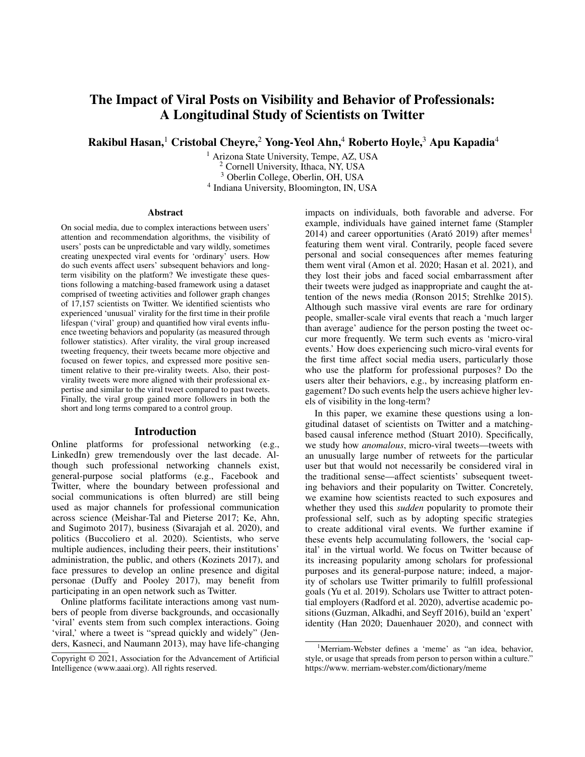# The Impact of Viral Posts on Visibility and Behavior of Professionals: A Longitudinal Study of Scientists on Twitter

Rakibul Hasan,<sup>1</sup> Cristobal Cheyre,<sup>2</sup> Yong-Yeol Ahn,<sup>4</sup> Roberto Hoyle,<sup>3</sup> Apu Kapadia<sup>4</sup>

<sup>1</sup> Arizona State University, Tempe, AZ, USA Cornell University, Ithaca, NY, USA Oberlin College, Oberlin, OH, USA Indiana University, Bloomington, IN, USA

#### Abstract

On social media, due to complex interactions between users' attention and recommendation algorithms, the visibility of users' posts can be unpredictable and vary wildly, sometimes creating unexpected viral events for 'ordinary' users. How do such events affect users' subsequent behaviors and longterm visibility on the platform? We investigate these questions following a matching-based framework using a dataset comprised of tweeting activities and follower graph changes of 17,157 scientists on Twitter. We identified scientists who experienced 'unusual' virality for the first time in their profile lifespan ('viral' group) and quantified how viral events influence tweeting behaviors and popularity (as measured through follower statistics). After virality, the viral group increased tweeting frequency, their tweets became more objective and focused on fewer topics, and expressed more positive sentiment relative to their pre-virality tweets. Also, their postvirality tweets were more aligned with their professional expertise and similar to the viral tweet compared to past tweets. Finally, the viral group gained more followers in both the short and long terms compared to a control group.

#### Introduction

Online platforms for professional networking (e.g., LinkedIn) grew tremendously over the last decade. Although such professional networking channels exist, general-purpose social platforms (e.g., Facebook and Twitter, where the boundary between professional and social communications is often blurred) are still being used as major channels for professional communication across science (Meishar-Tal and Pieterse 2017; Ke, Ahn, and Sugimoto 2017), business (Sivarajah et al. 2020), and politics (Buccoliero et al. 2020). Scientists, who serve multiple audiences, including their peers, their institutions' administration, the public, and others (Kozinets 2017), and face pressures to develop an online presence and digital personae (Duffy and Pooley 2017), may benefit from participating in an open network such as Twitter.

Online platforms facilitate interactions among vast numbers of people from diverse backgrounds, and occasionally 'viral' events stem from such complex interactions. Going 'viral,' where a tweet is "spread quickly and widely" (Jenders, Kasneci, and Naumann 2013), may have life-changing impacts on individuals, both favorable and adverse. For example, individuals have gained internet fame (Stampler 2014) and career opportunities (Arató 2019) after memes<sup>1</sup> featuring them went viral. Contrarily, people faced severe personal and social consequences after memes featuring them went viral (Amon et al. 2020; Hasan et al. 2021), and they lost their jobs and faced social embarrassment after their tweets were judged as inappropriate and caught the attention of the news media (Ronson 2015; Strehlke 2015). Although such massive viral events are rare for ordinary people, smaller-scale viral events that reach a 'much larger than average' audience for the person posting the tweet occur more frequently. We term such events as 'micro-viral events.' How does experiencing such micro-viral events for the first time affect social media users, particularly those who use the platform for professional purposes? Do the users alter their behaviors, e.g., by increasing platform engagement? Do such events help the users achieve higher levels of visibility in the long-term?

In this paper, we examine these questions using a longitudinal dataset of scientists on Twitter and a matchingbased causal inference method (Stuart 2010). Specifically, we study how *anomalous*, micro-viral tweets—tweets with an unusually large number of retweets for the particular user but that would not necessarily be considered viral in the traditional sense—affect scientists' subsequent tweeting behaviors and their popularity on Twitter. Concretely, we examine how scientists reacted to such exposures and whether they used this *sudden* popularity to promote their professional self, such as by adopting specific strategies to create additional viral events. We further examine if these events help accumulating followers, the 'social capital' in the virtual world. We focus on Twitter because of its increasing popularity among scholars for professional purposes and its general-purpose nature; indeed, a majority of scholars use Twitter primarily to fulfill professional goals (Yu et al. 2019). Scholars use Twitter to attract potential employers (Radford et al. 2020), advertise academic positions (Guzman, Alkadhi, and Seyff 2016), build an 'expert' identity (Han 2020; Dauenhauer 2020), and connect with

Copyright © 2021, Association for the Advancement of Artificial Intelligence (www.aaai.org). All rights reserved.

<sup>&</sup>lt;sup>1</sup>Merriam-Webster defines a 'meme' as "an idea, behavior, style, or usage that spreads from person to person within a culture." https://www. merriam-webster.com/dictionary/meme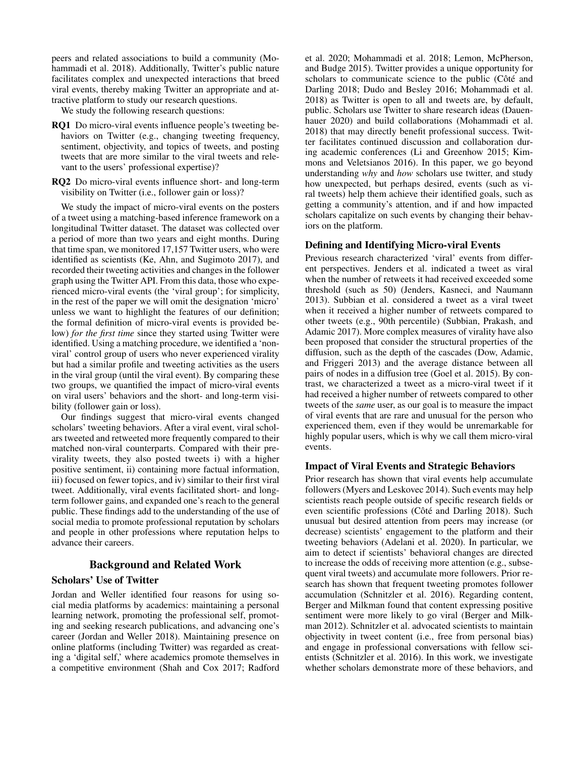peers and related associations to build a community (Mohammadi et al. 2018). Additionally, Twitter's public nature facilitates complex and unexpected interactions that breed viral events, thereby making Twitter an appropriate and attractive platform to study our research questions.

We study the following research questions:

- RQ1 Do micro-viral events influence people's tweeting behaviors on Twitter (e.g., changing tweeting frequency, sentiment, objectivity, and topics of tweets, and posting tweets that are more similar to the viral tweets and relevant to the users' professional expertise)?
- RQ2 Do micro-viral events influence short- and long-term visibility on Twitter (i.e., follower gain or loss)?

We study the impact of micro-viral events on the posters of a tweet using a matching-based inference framework on a longitudinal Twitter dataset. The dataset was collected over a period of more than two years and eight months. During that time span, we monitored 17,157 Twitter users, who were identified as scientists (Ke, Ahn, and Sugimoto 2017), and recorded their tweeting activities and changes in the follower graph using the Twitter API. From this data, those who experienced micro-viral events (the 'viral group'; for simplicity, in the rest of the paper we will omit the designation 'micro' unless we want to highlight the features of our definition; the formal definition of micro-viral events is provided below) *for the first time* since they started using Twitter were identified. Using a matching procedure, we identified a 'nonviral' control group of users who never experienced virality but had a similar profile and tweeting activities as the users in the viral group (until the viral event). By comparing these two groups, we quantified the impact of micro-viral events on viral users' behaviors and the short- and long-term visibility (follower gain or loss).

Our findings suggest that micro-viral events changed scholars' tweeting behaviors. After a viral event, viral scholars tweeted and retweeted more frequently compared to their matched non-viral counterparts. Compared with their previrality tweets, they also posted tweets i) with a higher positive sentiment, ii) containing more factual information, iii) focused on fewer topics, and iv) similar to their first viral tweet. Additionally, viral events facilitated short- and longterm follower gains, and expanded one's reach to the general public. These findings add to the understanding of the use of social media to promote professional reputation by scholars and people in other professions where reputation helps to advance their careers.

# Background and Related Work

# Scholars' Use of Twitter

Jordan and Weller identified four reasons for using social media platforms by academics: maintaining a personal learning network, promoting the professional self, promoting and seeking research publications, and advancing one's career (Jordan and Weller 2018). Maintaining presence on online platforms (including Twitter) was regarded as creating a 'digital self,' where academics promote themselves in a competitive environment (Shah and Cox 2017; Radford

et al. 2020; Mohammadi et al. 2018; Lemon, McPherson, and Budge 2015). Twitter provides a unique opportunity for scholars to communicate science to the public (Côté and Darling 2018; Dudo and Besley 2016; Mohammadi et al. 2018) as Twitter is open to all and tweets are, by default, public. Scholars use Twitter to share research ideas (Dauenhauer 2020) and build collaborations (Mohammadi et al. 2018) that may directly benefit professional success. Twitter facilitates continued discussion and collaboration during academic conferences (Li and Greenhow 2015; Kimmons and Veletsianos 2016). In this paper, we go beyond understanding *why* and *how* scholars use twitter, and study how unexpected, but perhaps desired, events (such as viral tweets) help them achieve their identified goals, such as getting a community's attention, and if and how impacted scholars capitalize on such events by changing their behaviors on the platform.

#### Defining and Identifying Micro-viral Events

Previous research characterized 'viral' events from different perspectives. Jenders et al. indicated a tweet as viral when the number of retweets it had received exceeded some threshold (such as 50) (Jenders, Kasneci, and Naumann 2013). Subbian et al. considered a tweet as a viral tweet when it received a higher number of retweets compared to other tweets (e.g., 90th percentile) (Subbian, Prakash, and Adamic 2017). More complex measures of virality have also been proposed that consider the structural properties of the diffusion, such as the depth of the cascades (Dow, Adamic, and Friggeri 2013) and the average distance between all pairs of nodes in a diffusion tree (Goel et al. 2015). By contrast, we characterized a tweet as a micro-viral tweet if it had received a higher number of retweets compared to other tweets of the *same* user, as our goal is to measure the impact of viral events that are rare and unusual for the person who experienced them, even if they would be unremarkable for highly popular users, which is why we call them micro-viral events.

#### Impact of Viral Events and Strategic Behaviors

Prior research has shown that viral events help accumulate followers (Myers and Leskovec 2014). Such events may help scientists reach people outside of specific research fields or even scientific professions (Côté and Darling 2018). Such unusual but desired attention from peers may increase (or decrease) scientists' engagement to the platform and their tweeting behaviors (Adelani et al. 2020). In particular, we aim to detect if scientists' behavioral changes are directed to increase the odds of receiving more attention (e.g., subsequent viral tweets) and accumulate more followers. Prior research has shown that frequent tweeting promotes follower accumulation (Schnitzler et al. 2016). Regarding content, Berger and Milkman found that content expressing positive sentiment were more likely to go viral (Berger and Milkman 2012). Schnitzler et al. advocated scientists to maintain objectivity in tweet content (i.e., free from personal bias) and engage in professional conversations with fellow scientists (Schnitzler et al. 2016). In this work, we investigate whether scholars demonstrate more of these behaviors, and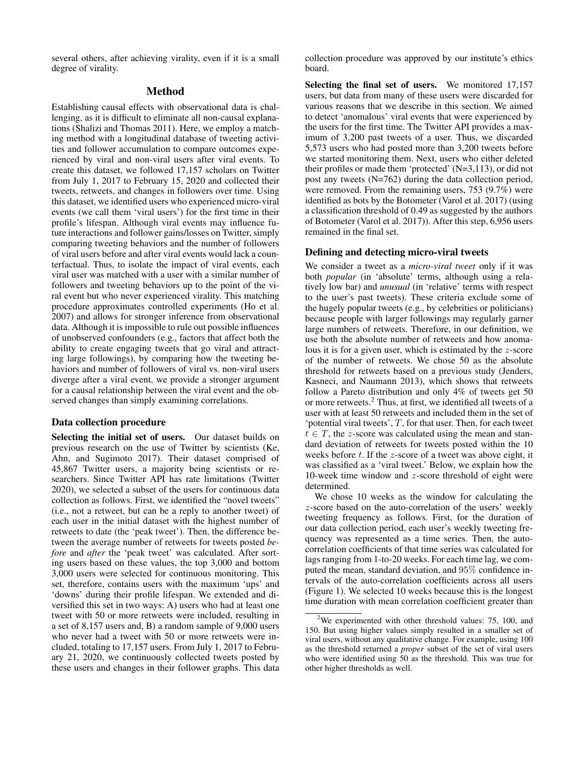several others, after achieving virality, even if it is a small degree of virality.

# Method

Establishing causal effects with observational data is challenging, as it is difficult to eliminate all non-causal explanations (Shalizi and Thomas 2011). Here, we employ a matching method with a longitudinal database of tweeting activities and follower accumulation to compare outcomes experienced by viral and non-viral users after viral events. To create this dataset, we followed 17,157 scholars on Twitter from July 1, 2017 to February 15, 2020 and collected their tweets, retweets, and changes in followers over time. Using this dataset, we identified users who experienced micro-viral events (we call them 'viral users') for the first time in their profile's lifespan. Although viral events may influence future interactions and follower gains/losses on Twitter, simply comparing tweeting behaviors and the number of followers of viral users before and after viral events would lack a counterfactual. Thus, to isolate the impact of viral events, each viral user was matched with a user with a similar number of followers and tweeting behaviors up to the point of the viral event but who never experienced virality. This matching procedure approximates controlled experiments (Ho et al. 2007) and allows for stronger inference from observational data. Although it is impossible to rule out possible influences of unobserved confounders (e.g., factors that affect both the ability to create engaging tweets that go viral and attracting large followings), by comparing how the tweeting behaviors and number of followers of viral vs. non-viral users diverge after a viral event, we provide a stronger argument for a causal relationship between the viral event and the observed changes than simply examining correlations.

# Data collection procedure

Selecting the initial set of users. Our dataset builds on previous research on the use of Twitter by scientists (Ke, Ahn, and Sugimoto 2017). Their dataset comprised of 45,867 Twitter users, a majority being scientists or researchers. Since Twitter API has rate limitations (Twitter 2020), we selected a subset of the users for continuous data collection as follows. First, we identified the "novel tweets" (i.e., not a retweet, but can be a reply to another tweet) of each user in the initial dataset with the highest number of retweets to date (the 'peak tweet'). Then, the difference between the average number of retweets for tweets posted *before* and *after* the 'peak tweet' was calculated. After sorting users based on these values, the top 3,000 and bottom 3,000 users were selected for continuous monitoring. This set, therefore, contains users with the maximum 'ups' and 'downs' during their profile lifespan. We extended and diversified this set in two ways: A) users who had at least one tweet with 50 or more retweets were included, resulting in a set of 8,157 users and, B) a random sample of 9,000 users who never had a tweet with 50 or more retweets were included, totaling to 17,157 users. From July 1, 2017 to February 21, 2020, we continuously collected tweets posted by these users and changes in their follower graphs. This data collection procedure was approved by our institute's ethics board.

Selecting the final set of users. We monitored 17,157 users, but data from many of these users were discarded for various reasons that we describe in this section. We aimed to detect 'anomalous' viral events that were experienced by the users for the first time. The Twitter API provides a maximum of 3,200 past tweets of a user. Thus, we discarded 5,573 users who had posted more than 3,200 tweets before we started monitoring them. Next, users who either deleted their profiles or made them 'protected' (N=3,113), or did not post any tweets (N=762) during the data collection period, were removed. From the remaining users, 753 (9.7%) were identified as bots by the Botometer (Varol et al. 2017) (using a classification threshold of 0.49 as suggested by the authors of Botometer (Varol et al. 2017)). After this step, 6,956 users remained in the final set.

#### Defining and detecting micro-viral tweets

We consider a tweet as a *micro-viral tweet* only if it was both *popular* (in 'absolute' terms, although using a relatively low bar) and *unusual* (in 'relative' terms with respect to the user's past tweets). These criteria exclude some of the hugely popular tweets (e.g., by celebrities or politicians) because people with larger followings may regularly garner large numbers of retweets. Therefore, in our definition, we use both the absolute number of retweets and how anomalous it is for a given user, which is estimated by the z-score of the number of retweets. We chose 50 as the absolute threshold for retweets based on a previous study (Jenders, Kasneci, and Naumann 2013), which shows that retweets follow a Pareto distribution and only 4% of tweets get 50 or more retweets.<sup>2</sup> Thus, at first, we identified all tweets of a user with at least 50 retweets and included them in the set of 'potential viral tweets',  $T$ , for that user. Then, for each tweet  $t \in T$ , the z-score was calculated using the mean and standard deviation of retweets for tweets posted within the 10 weeks before  $t$ . If the z-score of a tweet was above eight, it was classified as a 'viral tweet.' Below, we explain how the 10-week time window and  $z$ -score threshold of eight were determined.

We chose 10 weeks as the window for calculating the z-score based on the auto-correlation of the users' weekly tweeting frequency as follows. First, for the duration of our data collection period, each user's weekly tweeting frequency was represented as a time series. Then, the autocorrelation coefficients of that time series was calculated for lags ranging from 1-to-20 weeks. For each time lag, we computed the mean, standard deviation, and 95% confidence intervals of the auto-correlation coefficients across all users (Figure 1). We selected 10 weeks because this is the longest time duration with mean correlation coefficient greater than

<sup>&</sup>lt;sup>2</sup>We experimented with other threshold values: 75, 100, and 150. But using higher values simply resulted in a smaller set of viral users, without any qualitative change. For example, using 100 as the threshold returned a *proper* subset of the set of viral users who were identified using 50 as the threshold. This was true for other higher thresholds as well.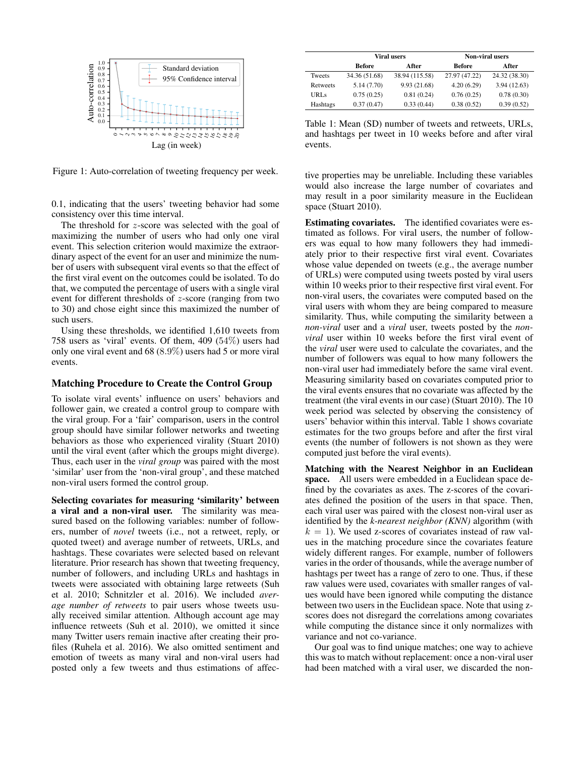

Figure 1: Auto-correlation of tweeting frequency per week.

0.1, indicating that the users' tweeting behavior had some consistency over this time interval.

The threshold for z-score was selected with the goal of maximizing the number of users who had only one viral event. This selection criterion would maximize the extraordinary aspect of the event for an user and minimize the number of users with subsequent viral events so that the effect of the first viral event on the outcomes could be isolated. To do that, we computed the percentage of users with a single viral event for different thresholds of z-score (ranging from two to 30) and chose eight since this maximized the number of such users.

Using these thresholds, we identified 1,610 tweets from 758 users as 'viral' events. Of them, 409 (54%) users had only one viral event and 68 (8.9%) users had 5 or more viral events.

## Matching Procedure to Create the Control Group

To isolate viral events' influence on users' behaviors and follower gain, we created a control group to compare with the viral group. For a 'fair' comparison, users in the control group should have similar follower networks and tweeting behaviors as those who experienced virality (Stuart 2010) until the viral event (after which the groups might diverge). Thus, each user in the *viral group* was paired with the most 'similar' user from the 'non-viral group', and these matched non-viral users formed the control group.

Selecting covariates for measuring 'similarity' between a viral and a non-viral user. The similarity was measured based on the following variables: number of followers, number of *novel* tweets (i.e., not a retweet, reply, or quoted tweet) and average number of retweets, URLs, and hashtags. These covariates were selected based on relevant literature. Prior research has shown that tweeting frequency, number of followers, and including URLs and hashtags in tweets were associated with obtaining large retweets (Suh et al. 2010; Schnitzler et al. 2016). We included *average number of retweets* to pair users whose tweets usually received similar attention. Although account age may influence retweets (Suh et al. 2010), we omitted it since many Twitter users remain inactive after creating their profiles (Ruhela et al. 2016). We also omitted sentiment and emotion of tweets as many viral and non-viral users had posted only a few tweets and thus estimations of affec-

|             | <b>Viral users</b> |                | <b>Non-viral users</b> |               |  |
|-------------|--------------------|----------------|------------------------|---------------|--|
|             | <b>Before</b>      | After          | <b>Before</b>          | After         |  |
| Tweets      | 34.36 (51.68)      | 38.94 (115.58) | 27.97 (47.22)          | 24.32 (38.30) |  |
| Retweets    | 5.14(7.70)         | 9.93(21.68)    | 4.20(6.29)             | 3.94(12.63)   |  |
| <b>URLs</b> | 0.75(0.25)         | 0.81(0.24)     | 0.76(0.25)             | 0.78(0.30)    |  |
| Hashtags    | 0.37(0.47)         | 0.33(0.44)     | 0.38(0.52)             | 0.39(0.52)    |  |

Table 1: Mean (SD) number of tweets and retweets, URLs, and hashtags per tweet in 10 weeks before and after viral events.

tive properties may be unreliable. Including these variables would also increase the large number of covariates and may result in a poor similarity measure in the Euclidean space (Stuart 2010).

Estimating covariates. The identified covariates were estimated as follows. For viral users, the number of followers was equal to how many followers they had immediately prior to their respective first viral event. Covariates whose value depended on tweets (e.g., the average number of URLs) were computed using tweets posted by viral users within 10 weeks prior to their respective first viral event. For non-viral users, the covariates were computed based on the viral users with whom they are being compared to measure similarity. Thus, while computing the similarity between a *non-viral* user and a *viral* user, tweets posted by the *nonviral* user within 10 weeks before the first viral event of the *viral* user were used to calculate the covariates, and the number of followers was equal to how many followers the non-viral user had immediately before the same viral event. Measuring similarity based on covariates computed prior to the viral events ensures that no covariate was affected by the treatment (the viral events in our case) (Stuart 2010). The 10 week period was selected by observing the consistency of users' behavior within this interval. Table 1 shows covariate estimates for the two groups before and after the first viral events (the number of followers is not shown as they were computed just before the viral events).

Matching with the Nearest Neighbor in an Euclidean space. All users were embedded in a Euclidean space defined by the covariates as axes. The z-scores of the covariates defined the position of the users in that space. Then, each viral user was paired with the closest non-viral user as identified by the *k-nearest neighbor (KNN)* algorithm (with  $k = 1$ ). We used z-scores of covariates instead of raw values in the matching procedure since the covariates feature widely different ranges. For example, number of followers varies in the order of thousands, while the average number of hashtags per tweet has a range of zero to one. Thus, if these raw values were used, covariates with smaller ranges of values would have been ignored while computing the distance between two users in the Euclidean space. Note that using zscores does not disregard the correlations among covariates while computing the distance since it only normalizes with variance and not co-variance.

Our goal was to find unique matches; one way to achieve this was to match without replacement: once a non-viral user had been matched with a viral user, we discarded the non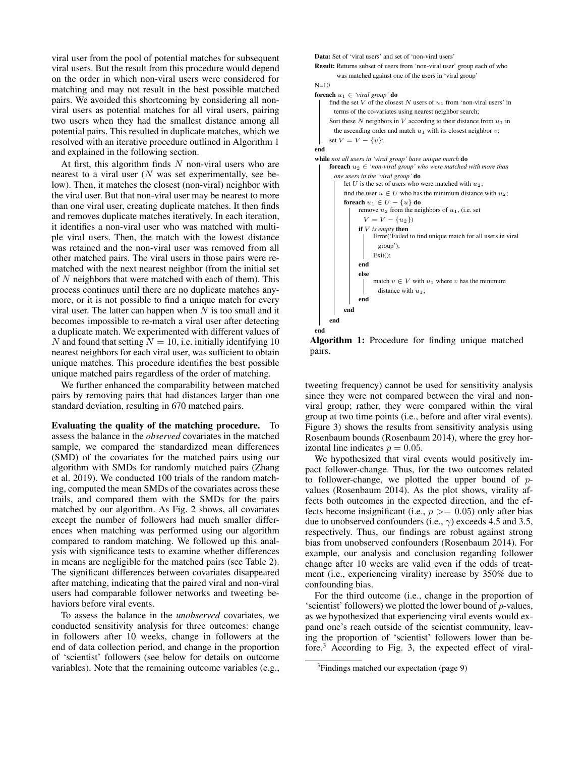viral user from the pool of potential matches for subsequent viral users. But the result from this procedure would depend on the order in which non-viral users were considered for matching and may not result in the best possible matched pairs. We avoided this shortcoming by considering all nonviral users as potential matches for all viral users, pairing two users when they had the smallest distance among all potential pairs. This resulted in duplicate matches, which we resolved with an iterative procedure outlined in Algorithm 1 and explained in the following section.

At first, this algorithm finds  $N$  non-viral users who are nearest to a viral user  $(N$  was set experimentally, see below). Then, it matches the closest (non-viral) neighbor with the viral user. But that non-viral user may be nearest to more than one viral user, creating duplicate matches. It then finds and removes duplicate matches iteratively. In each iteration, it identifies a non-viral user who was matched with multiple viral users. Then, the match with the lowest distance was retained and the non-viral user was removed from all other matched pairs. The viral users in those pairs were rematched with the next nearest neighbor (from the initial set of  $N$  neighbors that were matched with each of them). This process continues until there are no duplicate matches anymore, or it is not possible to find a unique match for every viral user. The latter can happen when  $N$  is too small and it becomes impossible to re-match a viral user after detecting a duplicate match. We experimented with different values of N and found that setting  $N = 10$ , i.e. initially identifying 10 nearest neighbors for each viral user, was sufficient to obtain unique matches. This procedure identifies the best possible unique matched pairs regardless of the order of matching.

We further enhanced the comparability between matched pairs by removing pairs that had distances larger than one standard deviation, resulting in 670 matched pairs.

Evaluating the quality of the matching procedure. To assess the balance in the *observed* covariates in the matched sample, we compared the standardized mean differences (SMD) of the covariates for the matched pairs using our algorithm with SMDs for randomly matched pairs (Zhang et al. 2019). We conducted 100 trials of the random matching, computed the mean SMDs of the covariates across these trails, and compared them with the SMDs for the pairs matched by our algorithm. As Fig. 2 shows, all covariates except the number of followers had much smaller differences when matching was performed using our algorithm compared to random matching. We followed up this analysis with significance tests to examine whether differences in means are negligible for the matched pairs (see Table 2). The significant differences between covariates disappeared after matching, indicating that the paired viral and non-viral users had comparable follower networks and tweeting behaviors before viral events.

To assess the balance in the *unobserved* covariates, we conducted sensitivity analysis for three outcomes: change in followers after 10 weeks, change in followers at the end of data collection period, and change in the proportion of 'scientist' followers (see below for details on outcome variables). Note that the remaining outcome variables (e.g.,



Algorithm 1: Procedure for finding unique matched pairs.

tweeting frequency) cannot be used for sensitivity analysis since they were not compared between the viral and nonviral group; rather, they were compared within the viral group at two time points (i.e., before and after viral events). Figure 3) shows the results from sensitivity analysis using Rosenbaum bounds (Rosenbaum 2014), where the grey horizontal line indicates  $p = 0.05$ .

We hypothesized that viral events would positively impact follower-change. Thus, for the two outcomes related to follower-change, we plotted the upper bound of  $p$ values (Rosenbaum 2014). As the plot shows, virality affects both outcomes in the expected direction, and the effects become insignificant (i.e.,  $p \geq 0.05$ ) only after bias due to unobserved confounders (i.e.,  $\gamma$ ) exceeds 4.5 and 3.5, respectively. Thus, our findings are robust against strong bias from unobserved confounders (Rosenbaum 2014). For example, our analysis and conclusion regarding follower change after 10 weeks are valid even if the odds of treatment (i.e., experiencing virality) increase by 350% due to confounding bias.

For the third outcome (i.e., change in the proportion of 'scientist' followers) we plotted the lower bound of p-values, as we hypothesized that experiencing viral events would expand one's reach outside of the scientist community, leaving the proportion of 'scientist' followers lower than before.<sup>3</sup> According to Fig. 3, the expected effect of viral-

<sup>&</sup>lt;sup>3</sup>Findings matched our expectation (page 9)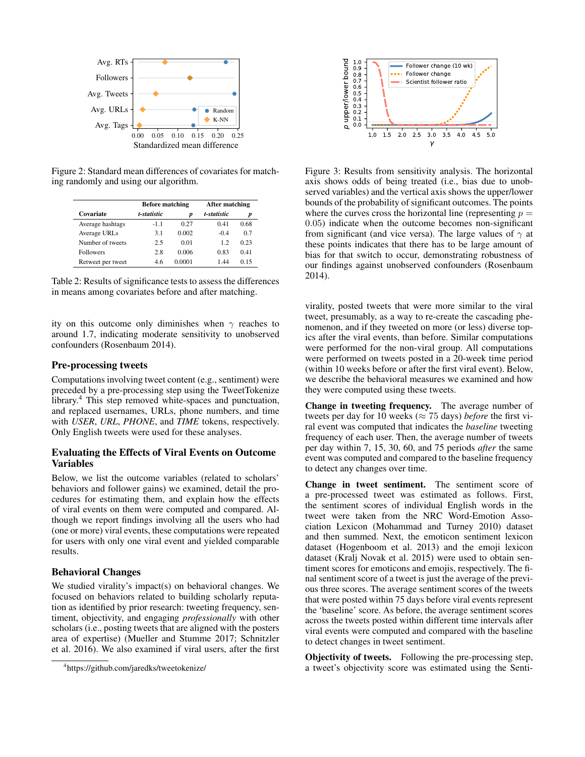

Figure 2: Standard mean differences of covariates for matching randomly and using our algorithm.

|                   | <b>Before matching</b> |        | After matching |      |
|-------------------|------------------------|--------|----------------|------|
| Covariate         | t-statistic            | p      | t-statistic    | p    |
| Average hashtags  | $-1.1$                 | 0.27   | 0.41           | 0.68 |
| Average URLs      | 3.1                    | 0.002  | $-0.4$         | 0.7  |
| Number of tweets  | 2.5                    | 0.01   | 12             | 0.23 |
| <b>Followers</b>  | 2.8                    | 0.006  | 0.83           | 0.41 |
| Retweet per tweet | 4.6                    | 0.0001 | 144            | 0.15 |

Table 2: Results of significance tests to assess the differences in means among covariates before and after matching.

ity on this outcome only diminishes when  $\gamma$  reaches to around 1.7, indicating moderate sensitivity to unobserved confounders (Rosenbaum 2014).

#### Pre-processing tweets

Computations involving tweet content (e.g., sentiment) were preceded by a pre-processing step using the TweetTokenize library.<sup>4</sup> This step removed white-spaces and punctuation, and replaced usernames, URLs, phone numbers, and time with *USER*, *URL*, *PHONE*, and *TIME* tokens, respectively. Only English tweets were used for these analyses.

# Evaluating the Effects of Viral Events on Outcome Variables

Below, we list the outcome variables (related to scholars' behaviors and follower gains) we examined, detail the procedures for estimating them, and explain how the effects of viral events on them were computed and compared. Although we report findings involving all the users who had (one or more) viral events, these computations were repeated for users with only one viral event and yielded comparable results.

#### Behavioral Changes

We studied virality's impact(s) on behavioral changes. We focused on behaviors related to building scholarly reputation as identified by prior research: tweeting frequency, sentiment, objectivity, and engaging *professionally* with other scholars (i.e., posting tweets that are aligned with the posters area of expertise) (Mueller and Stumme 2017; Schnitzler et al. 2016). We also examined if viral users, after the first



Figure 3: Results from sensitivity analysis. The horizontal axis shows odds of being treated (i.e., bias due to unobserved variables) and the vertical axis shows the upper/lower bounds of the probability of significant outcomes. The points where the curves cross the horizontal line (representing  $p =$ 0.05) indicate when the outcome becomes non-significant from significant (and vice versa). The large values of  $\gamma$  at these points indicates that there has to be large amount of bias for that switch to occur, demonstrating robustness of our findings against unobserved confounders (Rosenbaum 2014).

virality, posted tweets that were more similar to the viral tweet, presumably, as a way to re-create the cascading phenomenon, and if they tweeted on more (or less) diverse topics after the viral events, than before. Similar computations were performed for the non-viral group. All computations were performed on tweets posted in a 20-week time period (within 10 weeks before or after the first viral event). Below, we describe the behavioral measures we examined and how they were computed using these tweets.

Change in tweeting frequency. The average number of tweets per day for 10 weeks ( $\approx$  75 days) *before* the first viral event was computed that indicates the *baseline* tweeting frequency of each user. Then, the average number of tweets per day within 7, 15, 30, 60, and 75 periods *after* the same event was computed and compared to the baseline frequency to detect any changes over time.

Change in tweet sentiment. The sentiment score of a pre-processed tweet was estimated as follows. First, the sentiment scores of individual English words in the tweet were taken from the NRC Word-Emotion Association Lexicon (Mohammad and Turney 2010) dataset and then summed. Next, the emoticon sentiment lexicon dataset (Hogenboom et al. 2013) and the emoji lexicon dataset (Kralj Novak et al. 2015) were used to obtain sentiment scores for emoticons and emojis, respectively. The final sentiment score of a tweet is just the average of the previous three scores. The average sentiment scores of the tweets that were posted within 75 days before viral events represent the 'baseline' score. As before, the average sentiment scores across the tweets posted within different time intervals after viral events were computed and compared with the baseline to detect changes in tweet sentiment.

Objectivity of tweets. Following the pre-processing step, a tweet's objectivity score was estimated using the Senti-

<sup>4</sup> https://github.com/jaredks/tweetokenize/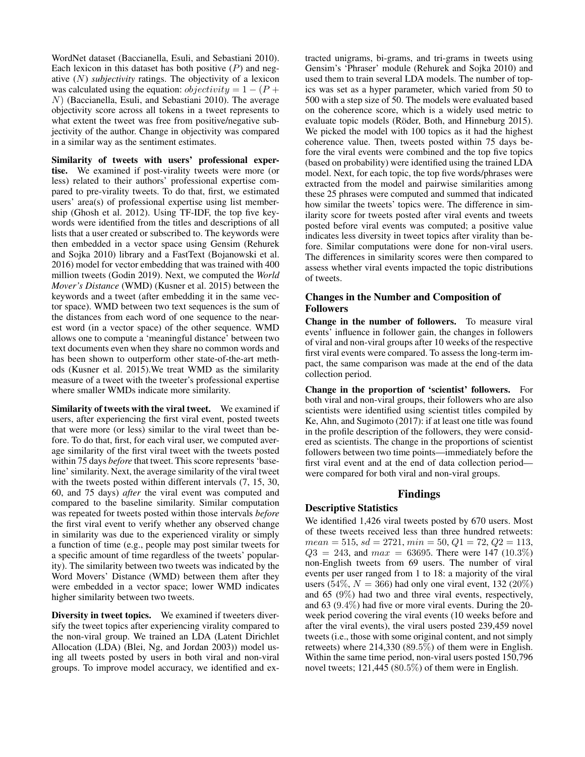WordNet dataset (Baccianella, Esuli, and Sebastiani 2010). Each lexicon in this dataset has both positive  $(P)$  and negative (N) *subjectivity* ratings. The objectivity of a lexicon was calculated using the equation:  $objectivity = 1 - (P +$  $N$ ) (Baccianella, Esuli, and Sebastiani 2010). The average objectivity score across all tokens in a tweet represents to what extent the tweet was free from positive/negative subjectivity of the author. Change in objectivity was compared in a similar way as the sentiment estimates.

Similarity of tweets with users' professional expertise. We examined if post-virality tweets were more (or less) related to their authors' professional expertise compared to pre-virality tweets. To do that, first, we estimated users' area(s) of professional expertise using list membership (Ghosh et al. 2012). Using TF-IDF, the top five keywords were identified from the titles and descriptions of all lists that a user created or subscribed to. The keywords were then embedded in a vector space using Gensim (Rehurek and Sojka 2010) library and a FastText (Bojanowski et al. 2016) model for vector embedding that was trained with 400 million tweets (Godin 2019). Next, we computed the *World Mover's Distance* (WMD) (Kusner et al. 2015) between the keywords and a tweet (after embedding it in the same vector space). WMD between two text sequences is the sum of the distances from each word of one sequence to the nearest word (in a vector space) of the other sequence. WMD allows one to compute a 'meaningful distance' between two text documents even when they share no common words and has been shown to outperform other state-of-the-art methods (Kusner et al. 2015).We treat WMD as the similarity measure of a tweet with the tweeter's professional expertise where smaller WMDs indicate more similarity.

Similarity of tweets with the viral tweet. We examined if users, after experiencing the first viral event, posted tweets that were more (or less) similar to the viral tweet than before. To do that, first, for each viral user, we computed average similarity of the first viral tweet with the tweets posted within 75 days *before* that tweet. This score represents 'baseline' similarity. Next, the average similarity of the viral tweet with the tweets posted within different intervals  $(7, 15, 30, 15)$ 60, and 75 days) *after* the viral event was computed and compared to the baseline similarity. Similar computation was repeated for tweets posted within those intervals *before* the first viral event to verify whether any observed change in similarity was due to the experienced virality or simply a function of time (e.g., people may post similar tweets for a specific amount of time regardless of the tweets' popularity). The similarity between two tweets was indicated by the Word Movers' Distance (WMD) between them after they were embedded in a vector space; lower WMD indicates higher similarity between two tweets.

Diversity in tweet topics. We examined if tweeters diversify the tweet topics after experiencing virality compared to the non-viral group. We trained an LDA (Latent Dirichlet Allocation (LDA) (Blei, Ng, and Jordan 2003)) model using all tweets posted by users in both viral and non-viral groups. To improve model accuracy, we identified and extracted unigrams, bi-grams, and tri-grams in tweets using Gensim's 'Phraser' module (Rehurek and Sojka 2010) and used them to train several LDA models. The number of topics was set as a hyper parameter, which varied from 50 to 500 with a step size of 50. The models were evaluated based on the coherence score, which is a widely used metric to evaluate topic models (Röder, Both, and Hinneburg 2015). We picked the model with 100 topics as it had the highest coherence value. Then, tweets posted within 75 days before the viral events were combined and the top five topics (based on probability) were identified using the trained LDA model. Next, for each topic, the top five words/phrases were extracted from the model and pairwise similarities among these 25 phrases were computed and summed that indicated how similar the tweets' topics were. The difference in similarity score for tweets posted after viral events and tweets posted before viral events was computed; a positive value indicates less diversity in tweet topics after virality than before. Similar computations were done for non-viral users. The differences in similarity scores were then compared to assess whether viral events impacted the topic distributions of tweets.

# Changes in the Number and Composition of Followers

Change in the number of followers. To measure viral events' influence in follower gain, the changes in followers of viral and non-viral groups after 10 weeks of the respective first viral events were compared. To assess the long-term impact, the same comparison was made at the end of the data collection period.

Change in the proportion of 'scientist' followers. For both viral and non-viral groups, their followers who are also scientists were identified using scientist titles compiled by Ke, Ahn, and Sugimoto (2017): if at least one title was found in the profile description of the followers, they were considered as scientists. The change in the proportions of scientist followers between two time points—immediately before the first viral event and at the end of data collection period were compared for both viral and non-viral groups.

# Findings

# Descriptive Statistics

We identified 1,426 viral tweets posted by 670 users. Most of these tweets received less than three hundred retweets:  $mean = 515, sd = 2721, min = 50, Q1 = 72, Q2 = 113,$  $Q3 = 243$ , and  $max = 63695$ . There were 147 (10.3%) non-English tweets from 69 users. The number of viral events per user ranged from 1 to 18: a majority of the viral users (54%,  $N = 366$ ) had only one viral event, 132 (20%) and 65 (9%) had two and three viral events, respectively, and 63 (9.4%) had five or more viral events. During the 20 week period covering the viral events (10 weeks before and after the viral events), the viral users posted 239,459 novel tweets (i.e., those with some original content, and not simply retweets) where 214,330 (89.5%) of them were in English. Within the same time period, non-viral users posted 150,796 novel tweets; 121,445 (80.5%) of them were in English.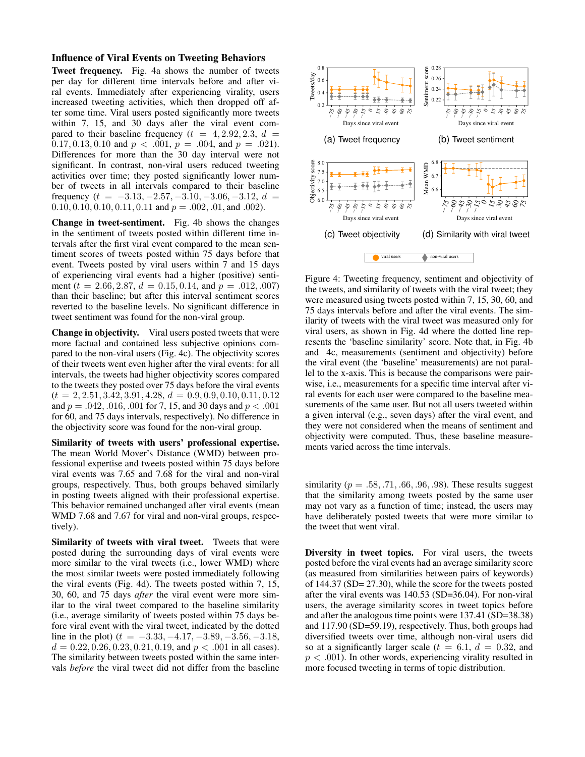#### Influence of Viral Events on Tweeting Behaviors

Tweet frequency. Fig. 4a shows the number of tweets per day for different time intervals before and after viral events. Immediately after experiencing virality, users increased tweeting activities, which then dropped off after some time. Viral users posted significantly more tweets within 7, 15, and 30 days after the viral event compared to their baseline frequency ( $t = 4, 2.92, 2.3, d =$ 0.17, 0.13, 0.10 and  $p < .001$ ,  $p = .004$ , and  $p = .021$ ). Differences for more than the 30 day interval were not significant. In contrast, non-viral users reduced tweeting activities over time; they posted significantly lower number of tweets in all intervals compared to their baseline frequency ( $t = -3.13, -2.57, -3.10, -3.06, -3.12, d$  $0.10, 0.10, 0.10, 0.11, 0.11$  and  $p = .002, .01,$  and .002).

Change in tweet-sentiment. Fig. 4b shows the changes in the sentiment of tweets posted within different time intervals after the first viral event compared to the mean sentiment scores of tweets posted within 75 days before that event. Tweets posted by viral users within 7 and 15 days of experiencing viral events had a higher (positive) sentiment ( $t = 2.66, 2.87, d = 0.15, 0.14,$  and  $p = .012, .007$ ) than their baseline; but after this interval sentiment scores reverted to the baseline levels. No significant difference in tweet sentiment was found for the non-viral group.

Change in objectivity. Viral users posted tweets that were more factual and contained less subjective opinions compared to the non-viral users (Fig. 4c). The objectivity scores of their tweets went even higher after the viral events: for all intervals, the tweets had higher objectivity scores compared to the tweets they posted over 75 days before the viral events  $(t = 2, 2.51, 3.42, 3.91, 4.28, d = 0.9, 0.9, 0.10, 0.11, 0.12)$ and  $p = .042, .016, .001$  for 7, 15, and 30 days and  $p < .001$ for 60, and 75 days intervals, respectively). No difference in the objectivity score was found for the non-viral group.

Similarity of tweets with users' professional expertise. The mean World Mover's Distance (WMD) between professional expertise and tweets posted within 75 days before viral events was 7.65 and 7.68 for the viral and non-viral groups, respectively. Thus, both groups behaved similarly in posting tweets aligned with their professional expertise. This behavior remained unchanged after viral events (mean WMD 7.68 and 7.67 for viral and non-viral groups, respectively).

Similarity of tweets with viral tweet. Tweets that were posted during the surrounding days of viral events were more similar to the viral tweets (i.e., lower WMD) where the most similar tweets were posted immediately following the viral events (Fig. 4d). The tweets posted within 7, 15, 30, 60, and 75 days *after* the viral event were more similar to the viral tweet compared to the baseline similarity (i.e., average similarity of tweets posted within 75 days before viral event with the viral tweet, indicated by the dotted line in the plot) ( $t = -3.33, -4.17, -3.89, -3.56, -3.18$ ,  $d = 0.22, 0.26, 0.23, 0.21, 0.19,$  and  $p < .001$  in all cases). The similarity between tweets posted within the same intervals *before* the viral tweet did not differ from the baseline



Figure 4: Tweeting frequency, sentiment and objectivity of the tweets, and similarity of tweets with the viral tweet; they were measured using tweets posted within 7, 15, 30, 60, and 75 days intervals before and after the viral events. The similarity of tweets with the viral tweet was measured only for viral users, as shown in Fig. 4d where the dotted line represents the 'baseline similarity' score. Note that, in Fig. 4b and 4c, measurements (sentiment and objectivity) before the viral event (the 'baseline' measurements) are not parallel to the x-axis. This is because the comparisons were pairwise, i.e., measurements for a specific time interval after viral events for each user were compared to the baseline measurements of the same user. But not all users tweeted within a given interval (e.g., seven days) after the viral event, and they were not considered when the means of sentiment and objectivity were computed. Thus, these baseline measurements varied across the time intervals.

similarity ( $p = .58, .71, .66, .96, .98$ ). These results suggest that the similarity among tweets posted by the same user may not vary as a function of time; instead, the users may have deliberately posted tweets that were more similar to the tweet that went viral.

Diversity in tweet topics. For viral users, the tweets posted before the viral events had an average similarity score (as measured from similarities between pairs of keywords) of 144.37 (SD= 27.30), while the score for the tweets posted after the viral events was 140.53 (SD=36.04). For non-viral users, the average similarity scores in tweet topics before and after the analogous time points were 137.41 (SD=38.38) and 117.90 (SD=59.19), respectively. Thus, both groups had diversified tweets over time, although non-viral users did so at a significantly larger scale ( $t = 6.1$ ,  $d = 0.32$ , and  $p < .001$ ). In other words, experiencing virality resulted in more focused tweeting in terms of topic distribution.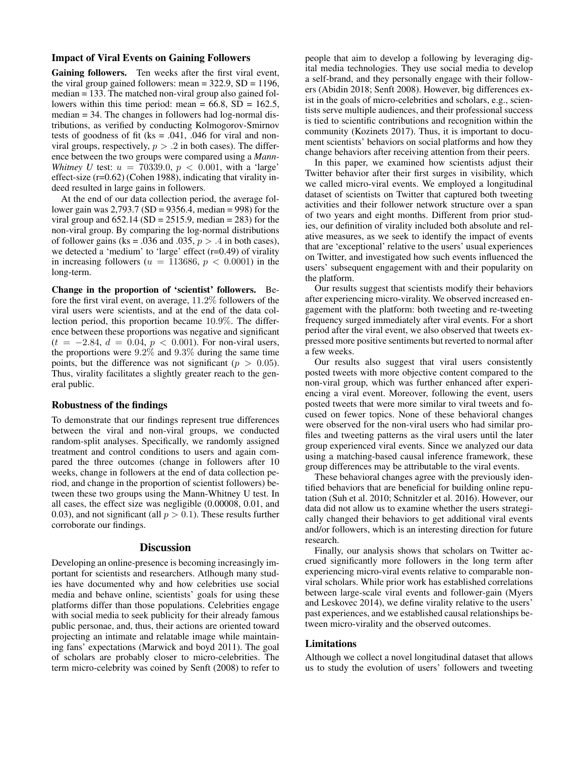# Impact of Viral Events on Gaining Followers

Gaining followers. Ten weeks after the first viral event, the viral group gained followers: mean  $= 322.9$ , SD  $= 1196$ , median = 133. The matched non-viral group also gained followers within this time period: mean =  $66.8$ , SD =  $162.5$ , median = 34. The changes in followers had log-normal distributions, as verified by conducting Kolmogorov-Smirnov tests of goodness of fit ( $ks = .041$ , .046 for viral and nonviral groups, respectively,  $p > .2$  in both cases). The difference between the two groups were compared using a *Mann-Whitney U* test:  $u = 70339.0$ ,  $p < 0.001$ , with a 'large' effect-size (r=0.62) (Cohen 1988), indicating that virality indeed resulted in large gains in followers.

At the end of our data collection period, the average follower gain was 2,793.7 (SD = 9356.4, median = 998) for the viral group and  $652.14$  (SD = 2515.9, median = 283) for the non-viral group. By comparing the log-normal distributions of follower gains (ks = .036 and .035,  $p > .4$  in both cases), we detected a 'medium' to 'large' effect (r=0.49) of virality in increasing followers ( $u = 113686$ ,  $p < 0.0001$ ) in the long-term.

Change in the proportion of 'scientist' followers. Before the first viral event, on average, 11.2% followers of the viral users were scientists, and at the end of the data collection period, this proportion became 10.9%. The difference between these proportions was negative and significant  $(t = -2.84, d = 0.04, p < 0.001)$ . For non-viral users, the proportions were 9.2% and 9.3% during the same time points, but the difference was not significant ( $p > 0.05$ ). Thus, virality facilitates a slightly greater reach to the general public.

### Robustness of the findings

To demonstrate that our findings represent true differences between the viral and non-viral groups, we conducted random-split analyses. Specifically, we randomly assigned treatment and control conditions to users and again compared the three outcomes (change in followers after 10 weeks, change in followers at the end of data collection period, and change in the proportion of scientist followers) between these two groups using the Mann-Whitney U test. In all cases, the effect size was negligible (0.00008, 0.01, and 0.03), and not significant (all  $p > 0.1$ ). These results further corroborate our findings.

#### **Discussion**

Developing an online-presence is becoming increasingly important for scientists and researchers. Atlhough many studies have documented why and how celebrities use social media and behave online, scientists' goals for using these platforms differ than those populations. Celebrities engage with social media to seek publicity for their already famous public personae, and, thus, their actions are oriented toward projecting an intimate and relatable image while maintaining fans' expectations (Marwick and boyd 2011). The goal of scholars are probably closer to micro-celebrities. The term micro-celebrity was coined by Senft (2008) to refer to people that aim to develop a following by leveraging digital media technologies. They use social media to develop a self-brand, and they personally engage with their followers (Abidin 2018; Senft 2008). However, big differences exist in the goals of micro-celebrities and scholars, e.g., scientists serve multiple audiences, and their professional success is tied to scientific contributions and recognition within the community (Kozinets 2017). Thus, it is important to document scientists' behaviors on social platforms and how they change behaviors after receiving attention from their peers.

In this paper, we examined how scientists adjust their Twitter behavior after their first surges in visibility, which we called micro-viral events. We employed a longitudinal dataset of scientists on Twitter that captured both tweeting activities and their follower network structure over a span of two years and eight months. Different from prior studies, our definition of virality included both absolute and relative measures, as we seek to identify the impact of events that are 'exceptional' relative to the users' usual experiences on Twitter, and investigated how such events influenced the users' subsequent engagement with and their popularity on the platform.

Our results suggest that scientists modify their behaviors after experiencing micro-virality. We observed increased engagement with the platform: both tweeting and re-tweeting frequency surged immediately after viral events. For a short period after the viral event, we also observed that tweets expressed more positive sentiments but reverted to normal after a few weeks.

Our results also suggest that viral users consistently posted tweets with more objective content compared to the non-viral group, which was further enhanced after experiencing a viral event. Moreover, following the event, users posted tweets that were more similar to viral tweets and focused on fewer topics. None of these behavioral changes were observed for the non-viral users who had similar profiles and tweeting patterns as the viral users until the later group experienced viral events. Since we analyzed our data using a matching-based causal inference framework, these group differences may be attributable to the viral events.

These behavioral changes agree with the previously identified behaviors that are beneficial for building online reputation (Suh et al. 2010; Schnitzler et al. 2016). However, our data did not allow us to examine whether the users strategically changed their behaviors to get additional viral events and/or followers, which is an interesting direction for future research.

Finally, our analysis shows that scholars on Twitter accrued significantly more followers in the long term after experiencing micro-viral events relative to comparable nonviral scholars. While prior work has established correlations between large-scale viral events and follower-gain (Myers and Leskovec 2014), we define virality relative to the users' past experiences, and we established causal relationships between micro-virality and the observed outcomes.

# Limitations

Although we collect a novel longitudinal dataset that allows us to study the evolution of users' followers and tweeting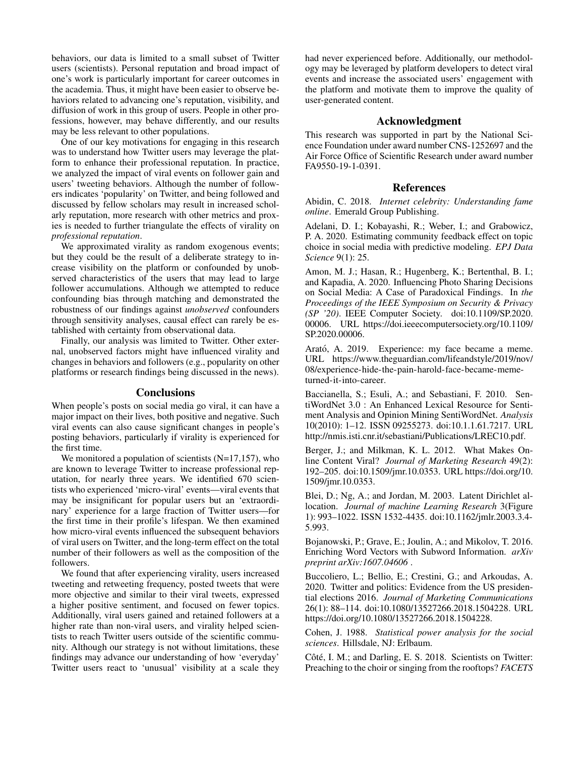behaviors, our data is limited to a small subset of Twitter users (scientists). Personal reputation and broad impact of one's work is particularly important for career outcomes in the academia. Thus, it might have been easier to observe behaviors related to advancing one's reputation, visibility, and diffusion of work in this group of users. People in other professions, however, may behave differently, and our results may be less relevant to other populations.

One of our key motivations for engaging in this research was to understand how Twitter users may leverage the platform to enhance their professional reputation. In practice, we analyzed the impact of viral events on follower gain and users' tweeting behaviors. Although the number of followers indicates 'popularity' on Twitter, and being followed and discussed by fellow scholars may result in increased scholarly reputation, more research with other metrics and proxies is needed to further triangulate the effects of virality on *professional reputation*.

We approximated virality as random exogenous events; but they could be the result of a deliberate strategy to increase visibility on the platform or confounded by unobserved characteristics of the users that may lead to large follower accumulations. Although we attempted to reduce confounding bias through matching and demonstrated the robustness of our findings against *unobserved* confounders through sensitivity analyses, causal effect can rarely be established with certainty from observational data.

Finally, our analysis was limited to Twitter. Other external, unobserved factors might have influenced virality and changes in behaviors and followers (e.g., popularity on other platforms or research findings being discussed in the news).

#### **Conclusions**

When people's posts on social media go viral, it can have a major impact on their lives, both positive and negative. Such viral events can also cause significant changes in people's posting behaviors, particularly if virality is experienced for the first time.

We monitored a population of scientists  $(N=17,157)$ , who are known to leverage Twitter to increase professional reputation, for nearly three years. We identified 670 scientists who experienced 'micro-viral' events—viral events that may be insignificant for popular users but an 'extraordinary' experience for a large fraction of Twitter users—for the first time in their profile's lifespan. We then examined how micro-viral events influenced the subsequent behaviors of viral users on Twitter, and the long-term effect on the total number of their followers as well as the composition of the followers.

We found that after experiencing virality, users increased tweeting and retweeting frequency, posted tweets that were more objective and similar to their viral tweets, expressed a higher positive sentiment, and focused on fewer topics. Additionally, viral users gained and retained followers at a higher rate than non-viral users, and virality helped scientists to reach Twitter users outside of the scientific community. Although our strategy is not without limitations, these findings may advance our understanding of how 'everyday' Twitter users react to 'unusual' visibility at a scale they

had never experienced before. Additionally, our methodology may be leveraged by platform developers to detect viral events and increase the associated users' engagement with the platform and motivate them to improve the quality of user-generated content.

# Acknowledgment

This research was supported in part by the National Science Foundation under award number CNS-1252697 and the Air Force Office of Scientific Research under award number FA9550-19-1-0391.

### References

Abidin, C. 2018. *Internet celebrity: Understanding fame online*. Emerald Group Publishing.

Adelani, D. I.; Kobayashi, R.; Weber, I.; and Grabowicz, P. A. 2020. Estimating community feedback effect on topic choice in social media with predictive modeling. *EPJ Data Science* 9(1): 25.

Amon, M. J.; Hasan, R.; Hugenberg, K.; Bertenthal, B. I.; and Kapadia, A. 2020. Influencing Photo Sharing Decisions on Social Media: A Case of Paradoxical Findings. In *the Proceedings of the IEEE Symposium on Security & Privacy (SP '20)*. IEEE Computer Society. doi:10.1109/SP.2020. 00006. URL https://doi.ieeecomputersociety.org/10.1109/ SP.2020.00006.

Arató, A. 2019. Experience: my face became a meme. URL https://www.theguardian.com/lifeandstyle/2019/nov/ 08/experience-hide-the-pain-harold-face-became-memeturned-it-into-career.

Baccianella, S.; Esuli, A.; and Sebastiani, F. 2010. SentiWordNet 3.0 : An Enhanced Lexical Resource for Sentiment Analysis and Opinion Mining SentiWordNet. *Analysis* 10(2010): 1–12. ISSN 09255273. doi:10.1.1.61.7217. URL http://nmis.isti.cnr.it/sebastiani/Publications/LREC10.pdf.

Berger, J.; and Milkman, K. L. 2012. What Makes Online Content Viral? *Journal of Marketing Research* 49(2): 192–205. doi:10.1509/jmr.10.0353. URL https://doi.org/10. 1509/jmr.10.0353.

Blei, D.; Ng, A.; and Jordan, M. 2003. Latent Dirichlet allocation. *Journal of machine Learning Research* 3(Figure 1): 993–1022. ISSN 1532-4435. doi:10.1162/jmlr.2003.3.4- 5.993.

Bojanowski, P.; Grave, E.; Joulin, A.; and Mikolov, T. 2016. Enriching Word Vectors with Subword Information. *arXiv preprint arXiv:1607.04606* .

Buccoliero, L.; Bellio, E.; Crestini, G.; and Arkoudas, A. 2020. Twitter and politics: Evidence from the US presidential elections 2016. *Journal of Marketing Communications* 26(1): 88–114. doi:10.1080/13527266.2018.1504228. URL https://doi.org/10.1080/13527266.2018.1504228.

Cohen, J. 1988. *Statistical power analysis for the social sciences*. Hillsdale, NJ: Erlbaum.

Côté, I. M.; and Darling, E. S. 2018. Scientists on Twitter: Preaching to the choir or singing from the rooftops? *FACETS*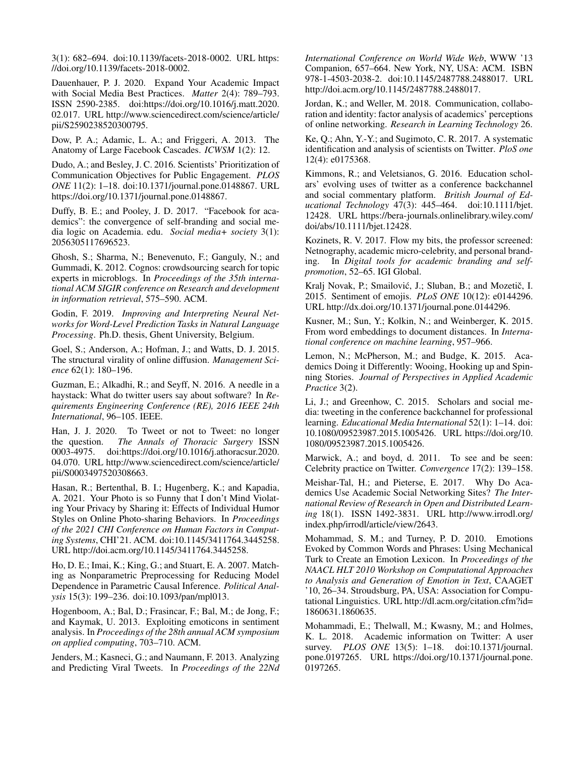3(1): 682–694. doi:10.1139/facets-2018-0002. URL https: //doi.org/10.1139/facets-2018-0002.

Dauenhauer, P. J. 2020. Expand Your Academic Impact with Social Media Best Practices. *Matter* 2(4): 789–793. ISSN 2590-2385. doi:https://doi.org/10.1016/j.matt.2020. 02.017. URL http://www.sciencedirect.com/science/article/ pii/S2590238520300795.

Dow, P. A.; Adamic, L. A.; and Friggeri, A. 2013. The Anatomy of Large Facebook Cascades. *ICWSM* 1(2): 12.

Dudo, A.; and Besley, J. C. 2016. Scientists' Prioritization of Communication Objectives for Public Engagement. *PLOS ONE* 11(2): 1–18. doi:10.1371/journal.pone.0148867. URL https://doi.org/10.1371/journal.pone.0148867.

Duffy, B. E.; and Pooley, J. D. 2017. "Facebook for academics": the convergence of self-branding and social media logic on Academia. edu. *Social media+ society* 3(1): 2056305117696523.

Ghosh, S.; Sharma, N.; Benevenuto, F.; Ganguly, N.; and Gummadi, K. 2012. Cognos: crowdsourcing search for topic experts in microblogs. In *Proceedings of the 35th international ACM SIGIR conference on Research and development in information retrieval*, 575–590. ACM.

Godin, F. 2019. *Improving and Interpreting Neural Networks for Word-Level Prediction Tasks in Natural Language Processing*. Ph.D. thesis, Ghent University, Belgium.

Goel, S.; Anderson, A.; Hofman, J.; and Watts, D. J. 2015. The structural virality of online diffusion. *Management Science* 62(1): 180–196.

Guzman, E.; Alkadhi, R.; and Seyff, N. 2016. A needle in a haystack: What do twitter users say about software? In *Requirements Engineering Conference (RE), 2016 IEEE 24th International*, 96–105. IEEE.

Han, J. J. 2020. To Tweet or not to Tweet: no longer the question. *The Annals of Thoracic Surgery* ISSN 0003-4975. doi:https://doi.org/10.1016/j.athoracsur.2020. 04.070. URL http://www.sciencedirect.com/science/article/ pii/S0003497520308663.

Hasan, R.; Bertenthal, B. I.; Hugenberg, K.; and Kapadia, A. 2021. Your Photo is so Funny that I don't Mind Violating Your Privacy by Sharing it: Effects of Individual Humor Styles on Online Photo-sharing Behaviors. In *Proceedings of the 2021 CHI Conference on Human Factors in Computing Systems*, CHI'21. ACM. doi:10.1145/3411764.3445258. URL http://doi.acm.org/10.1145/3411764.3445258.

Ho, D. E.; Imai, K.; King, G.; and Stuart, E. A. 2007. Matching as Nonparametric Preprocessing for Reducing Model Dependence in Parametric Causal Inference. *Political Analysis* 15(3): 199–236. doi:10.1093/pan/mpl013.

Hogenboom, A.; Bal, D.; Frasincar, F.; Bal, M.; de Jong, F.; and Kaymak, U. 2013. Exploiting emoticons in sentiment analysis. In *Proceedings of the 28th annual ACM symposium on applied computing*, 703–710. ACM.

Jenders, M.; Kasneci, G.; and Naumann, F. 2013. Analyzing and Predicting Viral Tweets. In *Proceedings of the 22Nd* *International Conference on World Wide Web*, WWW '13 Companion, 657–664. New York, NY, USA: ACM. ISBN 978-1-4503-2038-2. doi:10.1145/2487788.2488017. URL http://doi.acm.org/10.1145/2487788.2488017.

Jordan, K.; and Weller, M. 2018. Communication, collaboration and identity: factor analysis of academics' perceptions of online networking. *Research in Learning Technology* 26.

Ke, Q.; Ahn, Y.-Y.; and Sugimoto, C. R. 2017. A systematic identification and analysis of scientists on Twitter. *PloS one* 12(4): e0175368.

Kimmons, R.; and Veletsianos, G. 2016. Education scholars' evolving uses of twitter as a conference backchannel and social commentary platform. *British Journal of Educational Technology* 47(3): 445–464. doi:10.1111/bjet. 12428. URL https://bera-journals.onlinelibrary.wiley.com/ doi/abs/10.1111/bjet.12428.

Kozinets, R. V. 2017. Flow my bits, the professor screened: Netnography, academic micro-celebrity, and personal branding. In *Digital tools for academic branding and selfpromotion*, 52–65. IGI Global.

Kralj Novak, P.; Smailović, J.; Sluban, B.; and Mozetič, I. 2015. Sentiment of emojis. *PLoS ONE* 10(12): e0144296. URL http://dx.doi.org/10.1371/journal.pone.0144296.

Kusner, M.; Sun, Y.; Kolkin, N.; and Weinberger, K. 2015. From word embeddings to document distances. In *International conference on machine learning*, 957–966.

Lemon, N.; McPherson, M.; and Budge, K. 2015. Academics Doing it Differently: Wooing, Hooking up and Spinning Stories. *Journal of Perspectives in Applied Academic Practice* 3(2).

Li, J.; and Greenhow, C. 2015. Scholars and social media: tweeting in the conference backchannel for professional learning. *Educational Media International* 52(1): 1–14. doi: 10.1080/09523987.2015.1005426. URL https://doi.org/10. 1080/09523987.2015.1005426.

Marwick, A.; and boyd, d. 2011. To see and be seen: Celebrity practice on Twitter. *Convergence* 17(2): 139–158.

Meishar-Tal, H.; and Pieterse, E. 2017. Why Do Academics Use Academic Social Networking Sites? *The International Review of Research in Open and Distributed Learning* 18(1). ISSN 1492-3831. URL http://www.irrodl.org/ index.php/irrodl/article/view/2643.

Mohammad, S. M.; and Turney, P. D. 2010. Emotions Evoked by Common Words and Phrases: Using Mechanical Turk to Create an Emotion Lexicon. In *Proceedings of the NAACL HLT 2010 Workshop on Computational Approaches to Analysis and Generation of Emotion in Text*, CAAGET '10, 26–34. Stroudsburg, PA, USA: Association for Computational Linguistics. URL http://dl.acm.org/citation.cfm?id= 1860631.1860635.

Mohammadi, E.; Thelwall, M.; Kwasny, M.; and Holmes, K. L. 2018. Academic information on Twitter: A user survey. *PLOS ONE* 13(5): 1–18. doi:10.1371/journal. pone.0197265. URL https://doi.org/10.1371/journal.pone. 0197265.